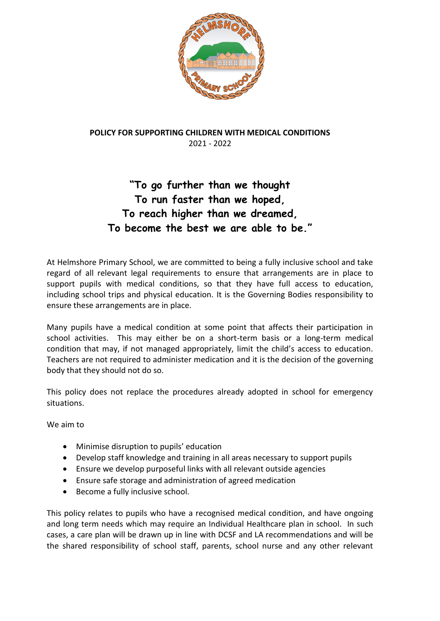

## **POLICY FOR SUPPORTING CHILDREN WITH MEDICAL CONDITIONS** 2021 - 2022

# **"To go further than we thought To run faster than we hoped, To reach higher than we dreamed, To become the best we are able to be."**

At Helmshore Primary School, we are committed to being a fully inclusive school and take regard of all relevant legal requirements to ensure that arrangements are in place to support pupils with medical conditions, so that they have full access to education, including school trips and physical education. It is the Governing Bodies responsibility to ensure these arrangements are in place.

Many pupils have a medical condition at some point that affects their participation in school activities. This may either be on a short-term basis or a long-term medical condition that may, if not managed appropriately, limit the child's access to education. Teachers are not required to administer medication and it is the decision of the governing body that they should not do so.

This policy does not replace the procedures already adopted in school for emergency situations.

We aim to

- Minimise disruption to pupils' education
- Develop staff knowledge and training in all areas necessary to support pupils
- Ensure we develop purposeful links with all relevant outside agencies
- Ensure safe storage and administration of agreed medication
- Become a fully inclusive school.

This policy relates to pupils who have a recognised medical condition, and have ongoing and long term needs which may require an Individual Healthcare plan in school. In such cases, a care plan will be drawn up in line with DCSF and LA recommendations and will be the shared responsibility of school staff, parents, school nurse and any other relevant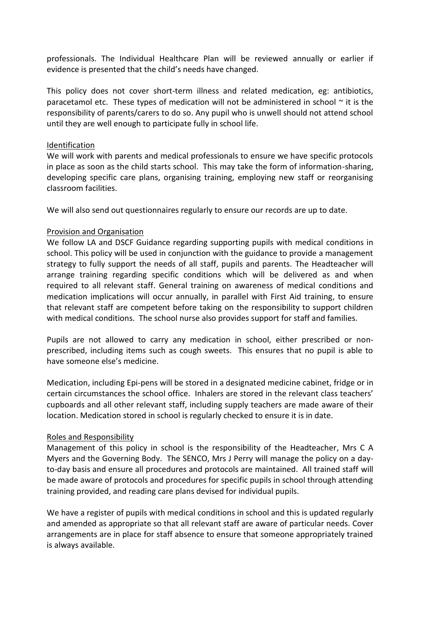professionals. The Individual Healthcare Plan will be reviewed annually or earlier if evidence is presented that the child's needs have changed.

This policy does not cover short-term illness and related medication, eg: antibiotics, paracetamol etc. These types of medication will not be administered in school  $\sim$  it is the responsibility of parents/carers to do so. Any pupil who is unwell should not attend school until they are well enough to participate fully in school life.

#### Identification

We will work with parents and medical professionals to ensure we have specific protocols in place as soon as the child starts school. This may take the form of information-sharing, developing specific care plans, organising training, employing new staff or reorganising classroom facilities.

We will also send out questionnaires regularly to ensure our records are up to date.

#### Provision and Organisation

We follow LA and DSCF Guidance regarding supporting pupils with medical conditions in school. This policy will be used in conjunction with the guidance to provide a management strategy to fully support the needs of all staff, pupils and parents. The Headteacher will arrange training regarding specific conditions which will be delivered as and when required to all relevant staff. General training on awareness of medical conditions and medication implications will occur annually, in parallel with First Aid training, to ensure that relevant staff are competent before taking on the responsibility to support children with medical conditions. The school nurse also provides support for staff and families.

Pupils are not allowed to carry any medication in school, either prescribed or nonprescribed, including items such as cough sweets. This ensures that no pupil is able to have someone else's medicine.

Medication, including Epi-pens will be stored in a designated medicine cabinet, fridge or in certain circumstances the school office. Inhalers are stored in the relevant class teachers' cupboards and all other relevant staff, including supply teachers are made aware of their location. Medication stored in school is regularly checked to ensure it is in date.

#### Roles and Responsibility

Management of this policy in school is the responsibility of the Headteacher, Mrs C A Myers and the Governing Body. The SENCO, Mrs J Perry will manage the policy on a dayto-day basis and ensure all procedures and protocols are maintained. All trained staff will be made aware of protocols and procedures for specific pupils in school through attending training provided, and reading care plans devised for individual pupils.

We have a register of pupils with medical conditions in school and this is updated regularly and amended as appropriate so that all relevant staff are aware of particular needs. Cover arrangements are in place for staff absence to ensure that someone appropriately trained is always available.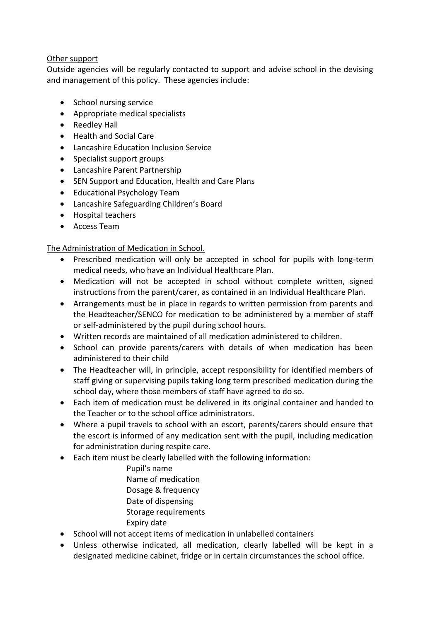### Other support

Outside agencies will be regularly contacted to support and advise school in the devising and management of this policy. These agencies include:

- School nursing service
- Appropriate medical specialists
- Reedley Hall
- Health and Social Care
- Lancashire Education Inclusion Service
- Specialist support groups
- Lancashire Parent Partnership
- SEN Support and Education, Health and Care Plans
- Educational Psychology Team
- Lancashire Safeguarding Children's Board
- Hospital teachers
- Access Team

## The Administration of Medication in School.

- Prescribed medication will only be accepted in school for pupils with long-term medical needs, who have an Individual Healthcare Plan.
- Medication will not be accepted in school without complete written, signed instructions from the parent/carer, as contained in an Individual Healthcare Plan.
- Arrangements must be in place in regards to written permission from parents and the Headteacher/SENCO for medication to be administered by a member of staff or self-administered by the pupil during school hours.
- Written records are maintained of all medication administered to children.
- School can provide parents/carers with details of when medication has been administered to their child
- The Headteacher will, in principle, accept responsibility for identified members of staff giving or supervising pupils taking long term prescribed medication during the school day, where those members of staff have agreed to do so.
- Each item of medication must be delivered in its original container and handed to the Teacher or to the school office administrators.
- Where a pupil travels to school with an escort, parents/carers should ensure that the escort is informed of any medication sent with the pupil, including medication for administration during respite care.
- Each item must be clearly labelled with the following information:
	- Pupil's name Name of medication Dosage & frequency Date of dispensing Storage requirements Expiry date
- School will not accept items of medication in unlabelled containers
- Unless otherwise indicated, all medication, clearly labelled will be kept in a designated medicine cabinet, fridge or in certain circumstances the school office.